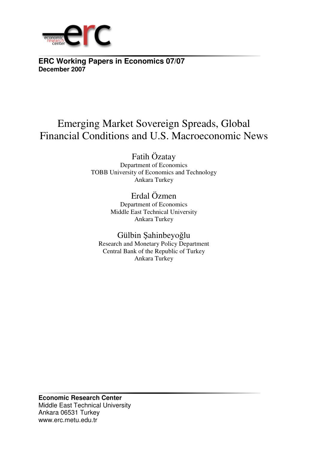

**ERC Working Papers in Economics 07/07 December 2007**

# Emerging Market Sovereign Spreads, Global Financial Conditions and U.S. Macroeconomic News

Fatih Özatay

Department of Economics TOBB University of Economics and Technology Ankara Turkey

> Erdal Özmen Department of Economics Middle East Technical University Ankara Turkey

Gülbin Şahinbeyoğlu Research and Monetary Policy Department Central Bank of the Republic of Turkey Ankara Turkey

**Economic Research Center**  Middle East Technical University Ankara 06531 Turkey www.erc.metu.edu.tr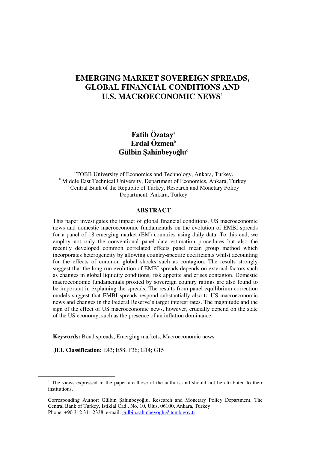# **EMERGING MARKET SOVEREIGN SPREADS, GLOBAL FINANCIAL CONDITIONS AND U.S. MACROECONOMIC NEWS**<sup>1</sup>

# **Fatih Özatay**<sup>a</sup> **Erdal Özmen**<sup>b</sup> **Gülbin** Ş**ahinbeyo**ğ**lu**<sup>c</sup>

<sup>a</sup>TOBB University of Economics and Technology, Ankara, Turkey. <sup>b</sup> Middle East Technical University, Department of Economics, Ankara, Turkey.  $c$ Central Bank of the Republic of Turkey, Research and Monetary Policy Department, Ankara, Turkey

### **ABSTRACT**

This paper investigates the impact of global financial conditions, US macroeconomic news and domestic macroeconomic fundamentals on the evolution of EMBI spreads for a panel of 18 emerging market (EM) countries using daily data. To this end, we employ not only the conventional panel data estimation procedures but also the recently developed common correlated effects panel mean group method which incorporates heterogeneity by allowing country-specific coefficients whilst accounting for the effects of common global shocks such as contagion. The results strongly suggest that the long-run evolution of EMBI spreads depends on external factors such as changes in global liquidity conditions, risk appetite and crises contagion. Domestic macroeconomic fundamentals proxied by sovereign country ratings are also found to be important in explaining the spreads. The results from panel equilibrium correction models suggest that EMBI spreads respond substantially also to US macroeconomic news and changes in the Federal Reserve's target interest rates. The magnitude and the sign of the effect of US macroeconomic news, however, crucially depend on the state of the US economy, such as the presence of an inflation dominance.

**Keywords:** Bond spreads, Emerging markets, Macroeconomic news

**JEL Classification:** E43; E58; F36; G14; G15

1

<sup>&</sup>lt;sup>1</sup> The views expressed in the paper are those of the authors and should not be attributed to their institutions.

Corresponding Author: Gülbin Şahinbeyoğlu, Research and Monetary Policy Department, The Central Bank of Turkey, Istiklal Cad., No. 10, Ulus, 06100, Ankara, Turkey Phone: +90 312 311 2338, e-mail: gulbin.sahinbeyoglu@tcmb.gov.tr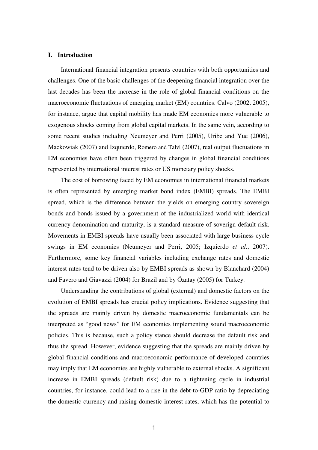#### **I. Introduction**

International financial integration presents countries with both opportunities and challenges. One of the basic challenges of the deepening financial integration over the last decades has been the increase in the role of global financial conditions on the macroeconomic fluctuations of emerging market (EM) countries. Calvo (2002, 2005), for instance, argue that capital mobility has made EM economies more vulnerable to exogenous shocks coming from global capital markets. In the same vein, according to some recent studies including Neumeyer and Perri (2005), Uribe and Yue (2006), Mackowiak (2007) and Izquierdo, Romero and Talvi (2007), real output fluctuations in EM economies have often been triggered by changes in global financial conditions represented by international interest rates or US monetary policy shocks.

The cost of borrowing faced by EM economies in international financial markets is often represented by emerging market bond index (EMBI) spreads. The EMBI spread, which is the difference between the yields on emerging country sovereign bonds and bonds issued by a government of the industrialized world with identical currency denomination and maturity, is a standard measure of soverign default risk. Movements in EMBI spreads have usually been associated with large business cycle swings in EM economies (Neumeyer and Perri, 2005; Izquierdo *et al*., 2007). Furthermore, some key financial variables including exchange rates and domestic interest rates tend to be driven also by EMBI spreads as shown by Blanchard (2004) and Favero and Giavazzi (2004) for Brazil and by Özatay (2005) for Turkey.

Understanding the contributions of global (external) and domestic factors on the evolution of EMBI spreads has crucial policy implications. Evidence suggesting that the spreads are mainly driven by domestic macroeconomic fundamentals can be interpreted as "good news" for EM economies implementing sound macroeconomic policies. This is because, such a policy stance should decrease the default risk and thus the spread. However, evidence suggesting that the spreads are mainly driven by global financial conditions and macroeconomic performance of developed countries may imply that EM economies are highly vulnerable to external shocks. A significant increase in EMBI spreads (default risk) due to a tightening cycle in industrial countries, for instance, could lead to a rise in the debt-to-GDP ratio by depreciating the domestic currency and raising domestic interest rates, which has the potential to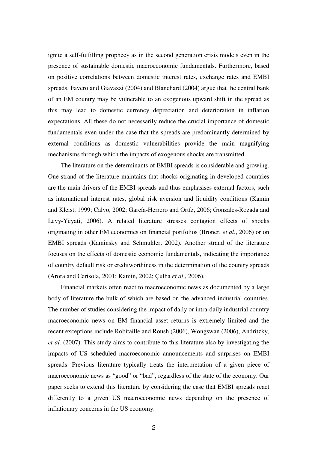ignite a self-fulfilling prophecy as in the second generation crisis models even in the presence of sustainable domestic macroeconomic fundamentals. Furthermore, based on positive correlations between domestic interest rates, exchange rates and EMBI spreads, Favero and Giavazzi (2004) and Blanchard (2004) argue that the central bank of an EM country may be vulnerable to an exogenous upward shift in the spread as this may lead to domestic currency depreciation and deterioration in inflation expectations. All these do not necessarily reduce the crucial importance of domestic fundamentals even under the case that the spreads are predominantly determined by external conditions as domestic vulnerabilities provide the main magnifying mechanisms through which the impacts of exogenous shocks are transmitted.

The literature on the determinants of EMBI spreads is considerable and growing. One strand of the literature maintains that shocks originating in developed countries are the main drivers of the EMBI spreads and thus emphasises external factors, such as international interest rates, global risk aversion and liquidity conditions (Kamin and Kleist, 1999; Calvo, 2002; García-Herrero and Ortíz, 2006; Gonzales-Rozada and Levy-Yeyati, 2006). A related literature stresses contagion effects of shocks originating in other EM economies on financial portfolios (Broner, *et al*., 2006) or on EMBI spreads (Kaminsky and Schmukler, 2002). Another strand of the literature focuses on the effects of domestic economic fundamentals, indicating the importance of country default risk or creditworthiness in the determination of the country spreads (Arora and Cerisola, 2001; Kamin, 2002; Çulha *et al*., 2006).

Financial markets often react to macroeconomic news as documented by a large body of literature the bulk of which are based on the advanced industrial countries. The number of studies considering the impact of daily or intra-daily industrial country macroeconomic news on EM financial asset returns is extremely limited and the recent exceptions include Robitaille and Roush (2006), Wongswan (2006), Andritzky, *et al.* (2007). This study aims to contribute to this literature also by investigating the impacts of US scheduled macroeconomic announcements and surprises on EMBI spreads. Previous literature typically treats the interpretation of a given piece of macroeconomic news as "good" or "bad", regardless of the state of the economy. Our paper seeks to extend this literature by considering the case that EMBI spreads react differently to a given US macroeconomic news depending on the presence of inflationary concerns in the US economy.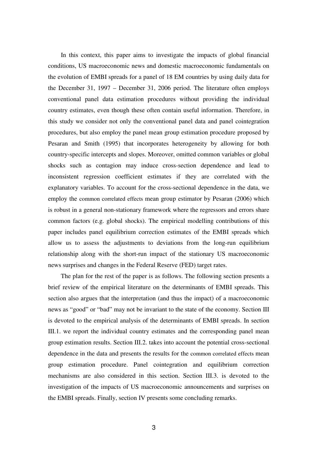In this context, this paper aims to investigate the impacts of global financial conditions, US macroeconomic news and domestic macroeconomic fundamentals on the evolution of EMBI spreads for a panel of 18 EM countries by using daily data for the December 31, 1997 – December 31, 2006 period. The literature often employs conventional panel data estimation procedures without providing the individual country estimates, even though these often contain useful information. Therefore, in this study we consider not only the conventional panel data and panel cointegration procedures, but also employ the panel mean group estimation procedure proposed by Pesaran and Smith (1995) that incorporates heterogeneity by allowing for both country-specific intercepts and slopes. Moreover, omitted common variables or global shocks such as contagion may induce cross-section dependence and lead to inconsistent regression coefficient estimates if they are correlated with the explanatory variables. To account for the cross-sectional dependence in the data, we employ the common correlated effects mean group estimator by Pesaran (2006) which is robust in a general non-stationary framework where the regressors and errors share common factors (e.g. global shocks). The empirical modelling contributions of this paper includes panel equilibrium correction estimates of the EMBI spreads which allow us to assess the adjustments to deviations from the long-run equilibrium relationship along with the short-run impact of the stationary US macroeconomic news surprises and changes in the Federal Reserve (FED) target rates.

The plan for the rest of the paper is as follows. The following section presents a brief review of the empirical literature on the determinants of EMBI spreads. This section also argues that the interpretation (and thus the impact) of a macroeconomic news as "good" or "bad" may not be invariant to the state of the economy. Section III is devoted to the empirical analysis of the determinants of EMBI spreads. In section III.1. we report the individual country estimates and the corresponding panel mean group estimation results. Section III.2. takes into account the potential cross-sectional dependence in the data and presents the results for the common correlated effects mean group estimation procedure. Panel cointegration and equilibrium correction mechanisms are also considered in this section. Section III.3. is devoted to the investigation of the impacts of US macroeconomic announcements and surprises on the EMBI spreads. Finally, section IV presents some concluding remarks.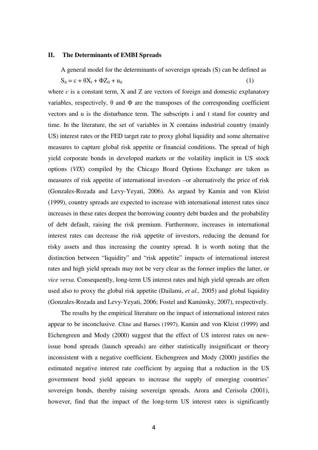#### **II. The Determinants of EMBI Spreads**

A general model for the determinants of sovereign spreads (S) can be defined as

$$
S_{it} = c + \theta X_t + \Phi Z_{it} + u_{it} \tag{1}
$$

where  $c$  is a constant term,  $X$  and  $Z$  are vectors of foreign and domestic explanatory variables, respectively,  $\theta$  and  $\Phi$  are the transposes of the corresponding coefficient vectors and u is the disturbance term. The subscripts i and t stand for country and time. In the literature, the set of variables in X contains industrial country (mainly US) interest rates or the FED target rate to proxy global liquidity and some alternative measures to capture global risk appetite or financial conditions. The spread of high yield corporate bonds in developed markets or the volatility implicit in US stock options (*VIX*) compiled by the Chicago Board Options Exchange are taken as measures of risk appetite of international investors –or alternatively the price of risk (Gonzales-Rozada and Levy-Yeyati, 2006). As argued by Kamin and von Kleist (1999), country spreads are expected to increase with international interest rates since increases in these rates deepen the borrowing country debt burden and the probability of debt default, raising the risk premium. Furthermore, increases in international interest rates can decrease the risk appetite of investors, reducing the demand for risky assets and thus increasing the country spread. It is worth noting that the distinction between "liquidity" and "risk appetite" impacts of international interest rates and high yield spreads may not be very clear as the former implies the latter, or *vice versa*. Consequently, long-term US interest rates and high yield spreads are often used also to proxy the global risk appetite (Dailami, *et al.,* 2005) and global liquidity (Gonzales-Rozada and Levy-Yeyati, 2006; Fostel and Kaminsky, 2007), respectively.

The results by the empirical literature on the impact of international interest rates appear to be inconclusive. Cline and Barnes (1997), Kamin and von Kleist (1999) and Eichengreen and Mody (2000) suggest that the effect of US interest rates on newissue bond spreads (launch spreads) are either statistically insignificant or theory inconsistent with a negative coefficient. Eichengreen and Mody (2000) justifies the estimated negative interest rate coefficient by arguing that a reduction in the US government bond yield appears to increase the supply of emerging countries' sovereign bonds, thereby raising sovereign spreads. Arora and Cerisola (2001), however, find that the impact of the long-term US interest rates is significantly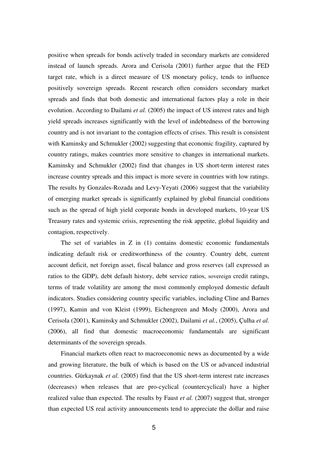positive when spreads for bonds actively traded in secondary markets are considered instead of launch spreads. Arora and Cerisola (2001) further argue that the FED target rate, which is a direct measure of US monetary policy, tends to influence positively sovereign spreads. Recent research often considers secondary market spreads and finds that both domestic and international factors play a role in their evolution. According to Dailami *et al.* (2005) the impact of US interest rates and high yield spreads increases significantly with the level of indebtedness of the borrowing country and is not invariant to the contagion effects of crises. This result is consistent with Kaminsky and Schmukler (2002) suggesting that economic fragility, captured by country ratings, makes countries more sensitive to changes in international markets. Kaminsky and Schmukler (2002) find that changes in US short-term interest rates increase country spreads and this impact is more severe in countries with low ratings. The results by Gonzales-Rozada and Levy-Yeyati (2006) suggest that the variability of emerging market spreads is significantly explained by global financial conditions such as the spread of high yield corporate bonds in developed markets, 10-year US Treasury rates and systemic crisis, representing the risk appetite, global liquidity and contagion, respectively.

The set of variables in Z in (1) contains domestic economic fundamentals indicating default risk or creditworthiness of the country. Country debt, current account deficit, net foreign asset, fiscal balance and gross reserves (all expressed as ratios to the GDP), debt default history, debt service ratios, sovereign credit ratings, terms of trade volatility are among the most commonly employed domestic default indicators. Studies considering country specific variables, including Cline and Barnes (1997), Kamin and von Kleist (1999), Eichengreen and Mody (2000), Arora and Cerisola (2001), Kaminsky and Schmukler (2002), Dailami *et al.*, (2005), Çulha *et al.* (2006), all find that domestic macroeconomic fundamentals are significant determinants of the sovereign spreads.

Financial markets often react to macroeconomic news as documented by a wide and growing literature, the bulk of which is based on the US or advanced industrial countries. Gürkaynak *et al.* (2005) find that the US short-term interest rate increases (decreases) when releases that are pro-cyclical (countercyclical) have a higher realized value than expected. The results by Faust *et al.* (2007) suggest that, stronger than expected US real activity announcements tend to appreciate the dollar and raise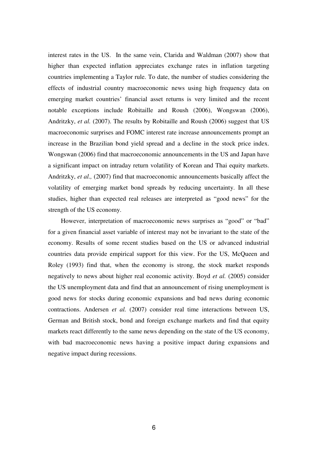interest rates in the US. In the same vein, Clarida and Waldman (2007) show that higher than expected inflation appreciates exchange rates in inflation targeting countries implementing a Taylor rule. To date, the number of studies considering the effects of industrial country macroeconomic news using high frequency data on emerging market countries' financial asset returns is very limited and the recent notable exceptions include Robitaille and Roush (2006), Wongswan (2006), Andritzky, *et al.* (2007). The results by Robitaille and Roush (2006) suggest that US macroeconomic surprises and FOMC interest rate increase announcements prompt an increase in the Brazilian bond yield spread and a decline in the stock price index. Wongswan (2006) find that macroeconomic announcements in the US and Japan have a significant impact on intraday return volatility of Korean and Thai equity markets. Andritzky, *et al.,* (2007) find that macroeconomic announcements basically affect the volatility of emerging market bond spreads by reducing uncertainty. In all these studies, higher than expected real releases are interpreted as "good news" for the strength of the US economy.

However, interpretation of macroeconomic news surprises as "good" or "bad" for a given financial asset variable of interest may not be invariant to the state of the economy. Results of some recent studies based on the US or advanced industrial countries data provide empirical support for this view. For the US, McQueen and Roley (1993) find that, when the economy is strong, the stock market responds negatively to news about higher real economic activity. Boyd *et al.* (2005) consider the US unemployment data and find that an announcement of rising unemployment is good news for stocks during economic expansions and bad news during economic contractions. Andersen *et al.* (2007) consider real time interactions between US, German and British stock, bond and foreign exchange markets and find that equity markets react differently to the same news depending on the state of the US economy, with bad macroeconomic news having a positive impact during expansions and negative impact during recessions.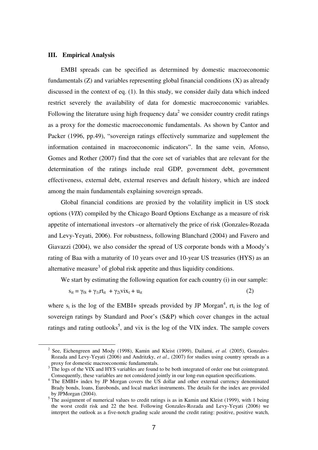### **III. Empirical Analysis**

<u>.</u>

EMBI spreads can be specified as determined by domestic macroeconomic fundamentals  $(Z)$  and variables representing global financial conditions  $(X)$  as already discussed in the context of eq. (1). In this study, we consider daily data which indeed restrict severely the availability of data for domestic macroeconomic variables. Following the literature using high frequency data<sup>2</sup> we consider country credit ratings as a proxy for the domestic macroeconomic fundamentals. As shown by Cantor and Packer (1996, pp.49), "sovereign ratings effectively summarize and supplement the information contained in macroeconomic indicators". In the same vein, Afonso, Gomes and Rother (2007) find that the core set of variables that are relevant for the determination of the ratings include real GDP, government debt, government effectiveness, external debt, external reserves and default history, which are indeed among the main fundamentals explaining sovereign spreads.

Global financial conditions are proxied by the volatility implicit in US stock options (*VIX*) compiled by the Chicago Board Options Exchange as a measure of risk appetite of international investors –or alternatively the price of risk (Gonzales-Rozada and Levy-Yeyati, 2006). For robustness, following Blanchard (2004) and Favero and Giavazzi (2004), we also consider the spread of US corporate bonds with a Moody's rating of Baa with a maturity of 10 years over and 10-year US treasuries (HYS) as an alternative measure<sup>3</sup> of global risk appetite and thus liquidity conditions.

We start by estimating the following equation for each country (i) in our sample:

$$
s_{it} = \gamma_{0i} + \gamma_{1i} r t_{it} + \gamma_{2i} v t x_t + u_{it}
$$
 (2)

where  $s_i$  is the log of the EMBI+ spreads provided by JP Morgan<sup>4</sup>, rt<sub>i</sub> is the log of sovereign ratings by Standard and Poor's (S&P) which cover changes in the actual ratings and rating outlooks<sup>5</sup>, and vix is the log of the VIX index. The sample covers

<sup>&</sup>lt;sup>2</sup> See, Eichengreen and Mody (1998), Kamin and Kleist (1999), Dailami, et al. (2005), Gonzales-Rozada and Levy-Yeyati (2006) and Andritzky, *et al*., (2007) for studies using country spreads as a proxy for domestic macroeconomic fundamentals.<br><sup>3</sup> The logs of the VIX and HYS variables are found to be both integrated of order one but cointegrated.

Consequently, these variables are not considered jointly in our long-run equation specifications.

<sup>&</sup>lt;sup>4</sup> The EMBI+ index by JP Morgan covers the US dollar and other external currency denominated Brady bonds, loans, Eurobonds, and local market instruments. The details for the index are provided by JPMorgan (2004).

 $5$ The assignment of numerical values to credit ratings is as in Kamin and Kleist (1999), with 1 being the worst credit risk and 22 the best. Following Gonzales-Rozada and Levy-Yeyati (2006) we interpret the outlook as a five-notch grading scale around the credit rating: positive, positive watch,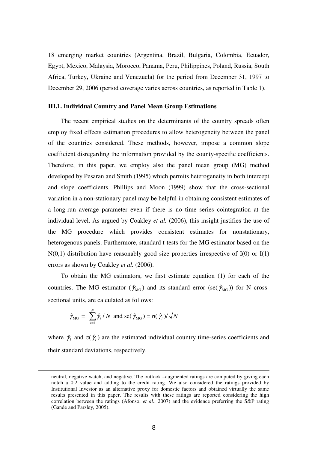18 emerging market countries (Argentina, Brazil, Bulgaria, Colombia, Ecuador, Egypt, Mexico, Malaysia, Morocco, Panama, Peru, Philippines, Poland, Russia, South Africa, Turkey, Ukraine and Venezuela) for the period from December 31, 1997 to December 29, 2006 (period coverage varies across countries, as reported in Table 1).

#### **III.1. Individual Country and Panel Mean Group Estimations**

The recent empirical studies on the determinants of the country spreads often employ fixed effects estimation procedures to allow heterogeneity between the panel of the countries considered. These methods, however, impose a common slope coefficient disregarding the information provided by the county-specific coefficients. Therefore, in this paper, we employ also the panel mean group (MG) method developed by Pesaran and Smith (1995) which permits heterogeneity in both intercept and slope coefficients. Phillips and Moon (1999) show that the cross-sectional variation in a non-stationary panel may be helpful in obtaining consistent estimates of a long-run average parameter even if there is no time series cointegration at the individual level. As argued by Coakley *et al.* (2006), this insight justifies the use of the MG procedure which provides consistent estimates for nonstationary, heterogenous panels. Furthermore, standard t-tests for the MG estimator based on the  $N(0,1)$  distribution have reasonably good size properties irrespective of  $I(0)$  or  $I(1)$ errors as shown by Coakley *et al.* (2006).

To obtain the MG estimators, we first estimate equation (1) for each of the countries. The MG estimator ( $\hat{\gamma}_{MG}$ ) and its standard error (se( $\hat{\gamma}_{MG}$ )) for N crosssectional units, are calculated as follows:

$$
\hat{\gamma}_{\text{MG}} = \sum_{i=1}^{N} \hat{\gamma}_i / N \text{ and } \text{se}(\hat{\gamma}_{\text{MG}}) = \sigma(\hat{\gamma}_i) / \sqrt{N}
$$

<u>.</u>

where  $\hat{\gamma}_i$  and  $\sigma(\hat{\gamma}_i)$  are the estimated individual country time-series coefficients and their standard deviations, respectively.

neutral, negative watch, and negative. The outlook –augmented ratings are computed by giving each notch a 0.2 value and adding to the credit rating. We also considered the ratings provided by Institutional Investor as an alternative proxy for domestic factors and obtained virtually the same results presented in this paper. The results with these ratings are reported considering the high correlation between the ratings (Afonso, *et al*., 2007) and the evidence preferring the S&P rating (Gande and Parsley, 2005).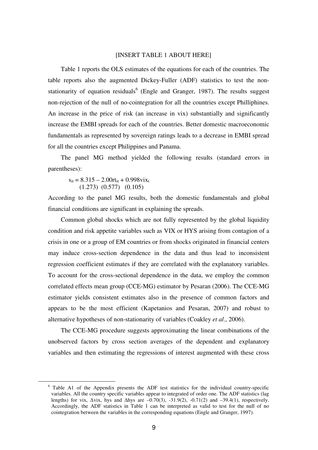#### [INSERT TABLE 1 ABOUT HERE]

Table 1 reports the OLS estimates of the equations for each of the countries. The table reports also the augmented Dickey-Fuller (ADF) statistics to test the nonstationarity of equation residuals $<sup>6</sup>$  (Engle and Granger, 1987). The results suggest</sup> non-rejection of the null of no-cointegration for all the countries except Philliphines. An increase in the price of risk (an increase in vix) substantially and significantly increase the EMBI spreads for each of the countries. Better domestic macroeconomic fundamentals as represented by sovereign ratings leads to a decrease in EMBI spread for all the countries except Philippines and Panama.

The panel MG method yielded the following results (standard errors in parentheses):

 $s_{it} = 8.315 - 2.00rt_{it} + 0.998vix_{t}$ (1.273) (0.577) (0.105)

<u>.</u>

According to the panel MG results, both the domestic fundamentals and global financial conditions are significant in explaining the spreads.

Common global shocks which are not fully represented by the global liquidity condition and risk appetite variables such as VIX or HYS arising from contagion of a crisis in one or a group of EM countries or from shocks originated in financial centers may induce cross-section dependence in the data and thus lead to inconsistent regression coefficient estimates if they are correlated with the explanatory variables. To account for the cross-sectional dependence in the data, we employ the common correlated effects mean group (CCE-MG) estimator by Pesaran (2006). The CCE-MG estimator yields consistent estimates also in the presence of common factors and appears to be the most efficient (Kapetanios and Pesaran, 2007) and robust to alternative hypotheses of non-stationarity of variables (Coakley *et al*., 2006).

The CCE-MG procedure suggests approximating the linear combinations of the unobserved factors by cross section averages of the dependent and explanatory variables and then estimating the regressions of interest augmented with these cross

<sup>&</sup>lt;sup>6</sup> Table A1 of the Appendix presents the ADF test statistics for the individual country-specific variables. All the country specific variables appear to integrated of order one. The ADF statistics (lag lengths) for vix, ∆vix, hys and ∆hys are –0.70(3), -31.9(2), -0.71(2) and –39.4(1), respectively. Accordingly, the ADF statistics in Table 1 can be interpreted as valid to test for the null of no cointegration between the variables in the corresponding equations (Engle and Granger, 1997).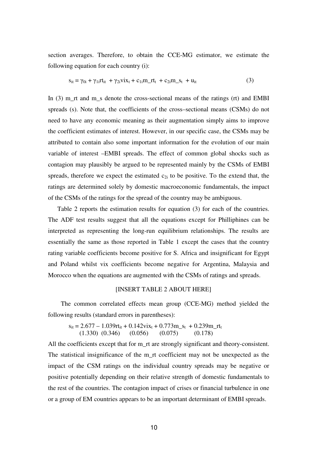section averages. Therefore, to obtain the CCE-MG estimator, we estimate the following equation for each country (i):

$$
s_{it} = \gamma_{0i} + \gamma_{1i}rt_{it} + \gamma_{2i}v_{1}x_{t} + c_{1i}m_{1}rt_{t} + c_{2i}m_{2}s_{t} + u_{it}
$$
 (3)

In  $(3)$  m rt and m s denote the cross-sectional means of the ratings  $(rt)$  and EMBI spreads (s). Note that, the coefficients of the cross–sectional means (CSMs) do not need to have any economic meaning as their augmentation simply aims to improve the coefficient estimates of interest. However, in our specific case, the CSMs may be attributed to contain also some important information for the evolution of our main variable of interest –EMBI spreads. The effect of common global shocks such as contagion may plausibly be argued to be represented mainly by the CSMs of EMBI spreads, therefore we expect the estimated  $c_{2i}$  to be positive. To the extend that, the ratings are determined solely by domestic macroeconomic fundamentals, the impact of the CSMs of the ratings for the spread of the country may be ambiguous.

 Table 2 reports the estimation results for equation (3) for each of the countries. The ADF test results suggest that all the equations except for Philliphines can be interpreted as representing the long-run equilibrium relationships. The results are essentially the same as those reported in Table 1 except the cases that the country rating variable coefficients become positive for S. Africa and insignificant for Egypt and Poland whilst vix coefficients become negative for Argentina, Malaysia and Morocco when the equations are augmented with the CSMs of ratings and spreads.

### [INSERT TABLE 2 ABOUT HERE]

The common correlated effects mean group (CCE-MG) method yielded the following results (standard errors in parentheses):

$$
s_{it} = 2.677 - 1.039rt_{it} + 0.142v_{it} + 0.773m_s + 0.239m_rrt_t
$$
  
(1.330) (0.346) (0.056) (0.075) (0.178)

All the coefficients except that for m\_rt are strongly significant and theory-consistent. The statistical insignificance of the m\_rt coefficient may not be unexpected as the impact of the CSM ratings on the individual country spreads may be negative or positive potentially depending on their relative strength of domestic fundamentals to the rest of the countries. The contagion impact of crises or financial turbulence in one or a group of EM countries appears to be an important determinant of EMBI spreads.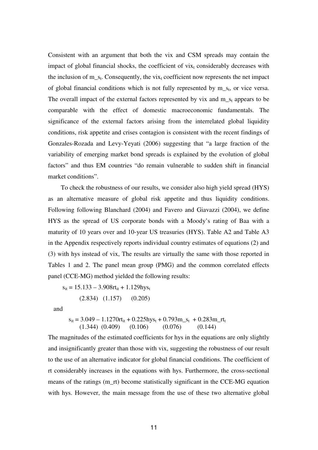Consistent with an argument that both the vix and CSM spreads may contain the impact of global financial shocks, the coefficient of  $vix_t$  considerably decreases with the inclusion of  $m_s$ . Consequently, the vix<sub>t</sub> coefficient now represents the net impact of global financial conditions which is not fully represented by  $m_s$ , or vice versa. The overall impact of the external factors represented by vix and  $m_s$  appears to be comparable with the effect of domestic macroeconomic fundamentals. The significance of the external factors arising from the interrelated global liquidity conditions, risk appetite and crises contagion is consistent with the recent findings of Gonzales-Rozada and Levy-Yeyati (2006) suggesting that "a large fraction of the variability of emerging market bond spreads is explained by the evolution of global factors" and thus EM countries "do remain vulnerable to sudden shift in financial market conditions".

To check the robustness of our results, we consider also high yield spread (HYS) as an alternative measure of global risk appetite and thus liquidity conditions. Following following Blanchard (2004) and Favero and Giavazzi (2004), we define HYS as the spread of US corporate bonds with a Moody's rating of Baa with a maturity of 10 years over and 10-year US treasuries (HYS). Table A2 and Table A3 in the Appendix respectively reports individual country estimates of equations (2) and (3) with hys instead of vix, The results are virtually the same with those reported in Tables 1 and 2. The panel mean group (PMG) and the common correlated effects panel (CCE-MG) method yielded the following results:

 $s_{it} = 15.133 - 3.908rt_{it} + 1.129hys_{t}$ (2.834) (1.157) (0.205)

and

$$
s_{it} = 3.049 - 1.1270rt_{it} + 0.225hys_{t} + 0.793m_s t_{t} + 0.283m_r t_{t}
$$
  
(1.344) (0.409) (0.106) (0.076) (0.144)

The magnitudes of the estimated coefficients for hys in the equations are only slightly and insignificantly greater than those with vix, suggesting the robustness of our result to the use of an alternative indicator for global financial conditions. The coefficient of rt considerably increases in the equations with hys. Furthermore, the cross-sectional means of the ratings (m\_rt) become statistically significant in the CCE-MG equation with hys. However, the main message from the use of these two alternative global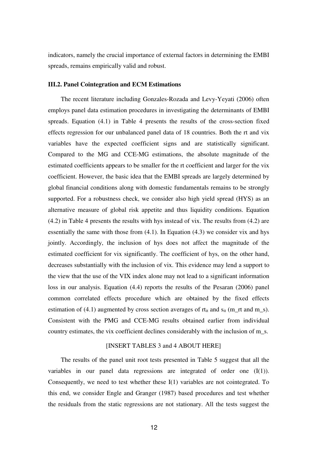indicators, namely the crucial importance of external factors in determining the EMBI spreads, remains empirically valid and robust.

### **III.2. Panel Cointegration and ECM Estimations**

The recent literature including Gonzales-Rozada and Levy-Yeyati (2006) often employs panel data estimation procedures in investigating the determinants of EMBI spreads. Equation (4.1) in Table 4 presents the results of the cross-section fixed effects regression for our unbalanced panel data of 18 countries. Both the rt and vix variables have the expected coefficient signs and are statistically significant. Compared to the MG and CCE-MG estimations, the absolute magnitude of the estimated coefficients appears to be smaller for the rt coefficient and larger for the vix coefficient. However, the basic idea that the EMBI spreads are largely determined by global financial conditions along with domestic fundamentals remains to be strongly supported. For a robustness check, we consider also high yield spread (HYS) as an alternative measure of global risk appetite and thus liquidity conditions. Equation (4.2) in Table 4 presents the results with hys instead of vix. The results from (4.2) are essentially the same with those from (4.1). In Equation (4.3) we consider vix and hys jointly. Accordingly, the inclusion of hys does not affect the magnitude of the estimated coefficient for vix significantly. The coefficient of hys, on the other hand, decreases substantially with the inclusion of vix. This evidence may lend a support to the view that the use of the VIX index alone may not lead to a significant information loss in our analysis. Equation (4.4) reports the results of the Pesaran (2006) panel common correlated effects procedure which are obtained by the fixed effects estimation of (4.1) augmented by cross section averages of  $rt_{it}$  and  $s_{it}$  (m\_rt and m\_s). Consistent with the PMG and CCE-MG results obtained earlier from individual country estimates, the vix coefficient declines considerably with the inclusion of m\_s.

#### [INSERT TABLES 3 and 4 ABOUT HERE]

The results of the panel unit root tests presented in Table 5 suggest that all the variables in our panel data regressions are integrated of order one (I(1)). Consequently, we need to test whether these I(1) variables are not cointegrated. To this end, we consider Engle and Granger (1987) based procedures and test whether the residuals from the static regressions are not stationary. All the tests suggest the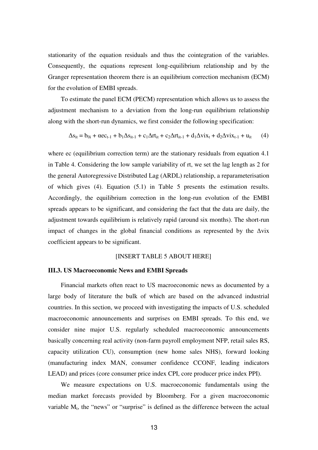stationarity of the equation residuals and thus the cointegration of the variables. Consequently, the equations represent long-equilibrium relationship and by the Granger representation theorem there is an equilibrium correction mechanism (ECM) for the evolution of EMBI spreads.

To estimate the panel ECM (PECM) representation which allows us to assess the adjustment mechanism to a deviation from the long-run equilibrium relationship along with the short-run dynamics, we first consider the following specification:

$$
\Delta s_{it} = b_{0i} + \alpha e c_{t-1} + b_1 \Delta s_{it-1} + c_1 \Delta r t_{it} + c_2 \Delta r t_{it-1} + d_1 \Delta v i x_t + d_2 \Delta v i x_{t-1} + u_{it} \tag{4}
$$

where ec (equilibrium correction term) are the stationary residuals from equation 4.1 in Table 4. Considering the low sample variability of rt, we set the lag length as 2 for the general Autoregressive Distributed Lag (ARDL) relationship, a reparameterisation of which gives (4). Equation (5.1) in Table 5 presents the estimation results. Accordingly, the equilibrium correction in the long-run evolution of the EMBI spreads appears to be significant, and considering the fact that the data are daily, the adjustment towards equilibrium is relatively rapid (around six months). The short-run impact of changes in the global financial conditions as represented by the ∆vix coefficient appears to be significant.

# [INSERT TABLE 5 ABOUT HERE]

# **III.3. US Macroeconomic News and EMBI Spreads**

Financial markets often react to US macroeconomic news as documented by a large body of literature the bulk of which are based on the advanced industrial countries. In this section, we proceed with investigating the impacts of U.S. scheduled macroeconomic announcements and surprises on EMBI spreads. To this end, we consider nine major U.S. regularly scheduled macroeconomic announcements basically concerning real activity (non-farm payroll employment NFP, retail sales RS, capacity utilization CU), consumption (new home sales NHS), forward looking (manufacturing index MAN, consumer confidence CCONF, leading indicators LEAD) and prices (core consumer price index CPI, core producer price index PPI).

We measure expectations on U.S. macroeconomic fundamentals using the median market forecasts provided by Bloomberg. For a given macroeconomic variable  $M_t$ , the "news" or "surprise" is defined as the difference between the actual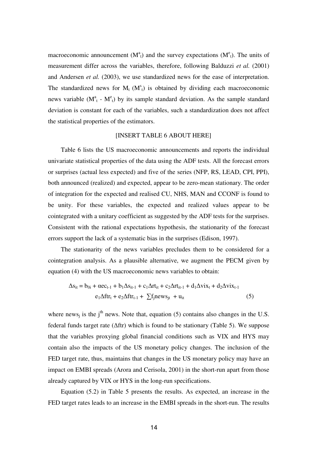macroeconomic announcement  $(M^a_t)$  and the survey expectations  $(M^e_t)$ . The units of measurement differ across the variables, therefore, following Balduzzi *et al.* (2001) and Andersen *et al.* (2003), we use standardized news for the ease of interpretation. The standardized news for  $M_t$  ( $M_t^s$ ) is obtained by dividing each macroeconomic news variable  $(M_t^a - M_t^e)$  by its sample standard deviation. As the sample standard deviation is constant for each of the variables, such a standardization does not affect the statistical properties of the estimators.

# [INSERT TABLE 6 ABOUT HERE]

Table 6 lists the US macroeconomic announcements and reports the individual univariate statistical properties of the data using the ADF tests. All the forecast errors or surprises (actual less expected) and five of the series (NFP, RS, LEAD, CPI, PPI), both announced (realized) and expected, appear to be zero-mean stationary. The order of integration for the expected and realised CU, NHS, MAN and CCONF is found to be unity. For these variables, the expected and realized values appear to be cointegrated with a unitary coefficient as suggested by the ADF tests for the surprises. Consistent with the rational expectations hypothesis, the stationarity of the forecast errors support the lack of a systematic bias in the surprises (Edison, 1997).

The stationarity of the news variables precludes them to be considered for a cointegration analysis. As a plausible alternative, we augment the PECM given by equation (4) with the US macroeconomic news variables to obtain:

$$
\Delta s_{it} = b_{0i} + \alpha e c_{t-1} + b_1 \Delta s_{it-1} + c_1 \Delta r t_{it} + c_2 \Delta r t_{it-1} + d_1 \Delta v i x_t + d_2 \Delta v i x_{t-1}
$$
  
\n
$$
e_1 \Delta f t r_t + e_2 \Delta f t r_{t-1} + \sum f_j n e w s_{jt} + u_{it}
$$
 (5)

where news<sub>i</sub> is the j<sup>th</sup> news. Note that, equation (5) contains also changes in the U.S. federal funds target rate (∆ftr) which is found to be stationary (Table 5). We suppose that the variables proxying global financial conditions such as VIX and HYS may contain also the impacts of the US monetary policy changes. The inclusion of the FED target rate, thus, maintains that changes in the US monetary policy may have an impact on EMBI spreads (Arora and Cerisola, 2001) in the short-run apart from those already captured by VIX or HYS in the long-run specifications.

Equation (5.2) in Table 5 presents the results. As expected, an increase in the FED target rates leads to an increase in the EMBI spreads in the short-run. The results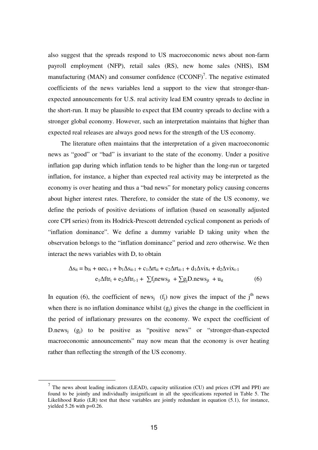also suggest that the spreads respond to US macroeconomic news about non-farm payroll employment (NFP), retail sales (RS), new home sales (NHS), ISM manufacturing (MAN) and consumer confidence  $(CCONF)^7$ . The negative estimated coefficients of the news variables lend a support to the view that stronger-thanexpected announcements for U.S. real activity lead EM country spreads to decline in the short-run. It may be plausible to expect that EM country spreads to decline with a stronger global economy. However, such an interpretation maintains that higher than expected real releases are always good news for the strength of the US economy.

The literature often maintains that the interpretation of a given macroeconomic news as "good" or "bad" is invariant to the state of the economy. Under a positive inflation gap during which inflation tends to be higher than the long-run or targeted inflation, for instance, a higher than expected real activity may be interpreted as the economy is over heating and thus a "bad news" for monetary policy causing concerns about higher interest rates. Therefore, to consider the state of the US economy, we define the periods of positive deviations of inflation (based on seasonally adjusted core CPI series) from its Hodrick-Prescott detrended cyclical component as periods of "inflation dominance". We define a dummy variable D taking unity when the observation belongs to the "inflation dominance" period and zero otherwise. We then interact the news variables with D, to obtain

$$
\Delta s_{it} = b_{0i} + \alpha e c_{t-1} + b_1 \Delta s_{it-1} + c_1 \Delta r t_{it} + c_2 \Delta r t_{it-1} + d_1 \Delta v i x_t + d_2 \Delta v i x_{t-1}
$$
  
\n
$$
e_1 \Delta f t r_t + e_2 \Delta f t r_{t-1} + \sum f_j n e w s_{jt} + \sum g_j D.n e w s_{jt} + u_{it}
$$
 (6)

In equation (6), the coefficient of news<sub>j</sub> (f<sub>j</sub>) now gives the impact of the j<sup>th</sup> news when there is no inflation dominance whilst  $(g_i)$  gives the change in the coefficient in the period of inflationary pressures on the economy. We expect the coefficient of D.news<sub>j</sub>  $(g_j)$  to be positive as "positive news" or "stronger-than-expected macroeconomic announcements" may now mean that the economy is over heating rather than reflecting the strength of the US economy.

<u>.</u>

 $<sup>7</sup>$  The news about leading indicators (LEAD), capacity utilization (CU) and prices (CPI and PPI) are</sup> found to be jointly and individually insignificant in all the specifications reported in Table 5. The Likelihood Ratio (LR) test that these variables are jointly redundant in equation (5.1), for instance, yielded 5.26 with p=0.26.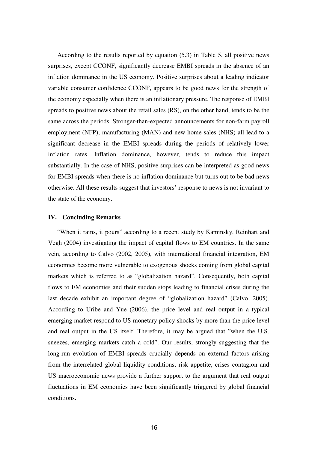According to the results reported by equation (5.3) in Table 5, all positive news surprises, except CCONF, significantly decrease EMBI spreads in the absence of an inflation dominance in the US economy. Positive surprises about a leading indicator variable consumer confidence CCONF, appears to be good news for the strength of the economy especially when there is an inflationary pressure. The response of EMBI spreads to positive news about the retail sales (RS), on the other hand, tends to be the same across the periods. Stronger-than-expected announcements for non-farm payroll employment (NFP), manufacturing (MAN) and new home sales (NHS) all lead to a significant decrease in the EMBI spreads during the periods of relatively lower inflation rates. Inflation dominance, however, tends to reduce this impact substantially. In the case of NHS, positive surprises can be interpreted as good news for EMBI spreads when there is no inflation dominance but turns out to be bad news otherwise. All these results suggest that investors' response to news is not invariant to the state of the economy.

#### **IV. Concluding Remarks**

"When it rains, it pours" according to a recent study by Kaminsky, Reinhart and Vegh (2004) investigating the impact of capital flows to EM countries. In the same vein, according to Calvo (2002, 2005), with international financial integration, EM economies become more vulnerable to exogenous shocks coming from global capital markets which is referred to as "globalization hazard". Consequently, both capital flows to EM economies and their sudden stops leading to financial crises during the last decade exhibit an important degree of "globalization hazard" (Calvo, 2005). According to Uribe and Yue (2006), the price level and real output in a typical emerging market respond to US monetary policy shocks by more than the price level and real output in the US itself. Therefore, it may be argued that "when the U.S. sneezes, emerging markets catch a cold". Our results, strongly suggesting that the long-run evolution of EMBI spreads crucially depends on external factors arising from the interrelated global liquidity conditions, risk appetite, crises contagion and US macroeconomic news provide a further support to the argument that real output fluctuations in EM economies have been significantly triggered by global financial conditions.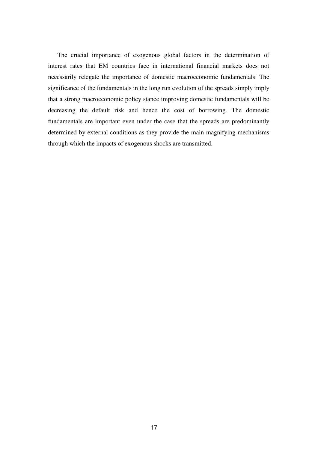The crucial importance of exogenous global factors in the determination of interest rates that EM countries face in international financial markets does not necessarily relegate the importance of domestic macroeconomic fundamentals. The significance of the fundamentals in the long run evolution of the spreads simply imply that a strong macroeconomic policy stance improving domestic fundamentals will be decreasing the default risk and hence the cost of borrowing. The domestic fundamentals are important even under the case that the spreads are predominantly determined by external conditions as they provide the main magnifying mechanisms through which the impacts of exogenous shocks are transmitted.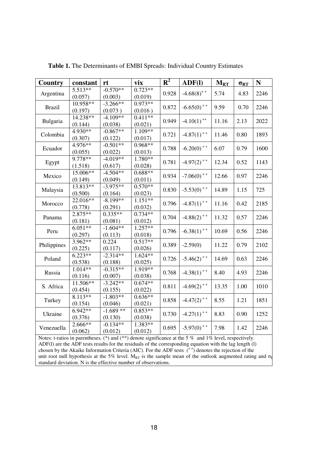| <b>Country</b> | constant             | rt                    | vix                  | $\mathbf{R}^2$ | $\bf{ADF}$ (I)                                       | $M_{RT}$ | $\sigma_{RT}$ | $\mathbf N$ |
|----------------|----------------------|-----------------------|----------------------|----------------|------------------------------------------------------|----------|---------------|-------------|
| Argentina      | 5.513**              | $-0.570**$            | $0.723**$            | 0.928          | $-4.68(8)^{+}$                                       | 5.74     | 4.83          | 2246        |
|                | (0.057)              | (0.003)               | (0.019)              |                |                                                      |          |               |             |
| <b>Brazil</b>  | $10.958**$           | $-3.266**$            | $0.973**$            | 0.872          | $-6.65(0)$ <sup>++</sup>                             | 9.59     | 0.70          | 2246        |
|                | (0.197)              | (0.073)               | (0.016)              |                |                                                      |          |               |             |
| Bulgaria       | $14.238**$           | $-4.109**$            | $0.411**$            | 0.949          | $-4.10(1)$ <sup>++</sup>                             | 11.16    | 2.13          | 2022        |
|                | (0.144)              | (0.038)               | (0.021)              |                |                                                      |          |               |             |
| Colombia       | 4.930**              | $-0.867**$            | $1.109**$            | 0.721          | $-4.87(1)$ <sup>++</sup>                             | 11.46    | 0.80          | 1893        |
|                | (0.307)              | (0.122)               | (0.017)              |                |                                                      |          |               |             |
| Ecuador        | 4.976**              | $-0.501**$            | $0.968**$            | 0.788          | $-6.20(0)$ <sup>++</sup>                             | 6.07     | 0.79          | 1600        |
|                | (0.055)              | (0.022)               | (0.013)              |                |                                                      |          |               |             |
| Egypt          | 9.778**              | $-4.019**$            | $1.780**$            | 0.781          | $-4.97(2)$ <sup>++</sup>                             | 12.34    | 0.52          | 1143        |
|                | (1.518)              | (0.617)               | (0.028)              |                |                                                      |          |               |             |
| Mexico         | $15.006**$           | $-4.504**$            | $0.688**$            | 0.934          | $-7.06(0)$ <sup>++</sup>                             | 12.66    | 0.97          | 2246        |
|                | (0.149)              | (0.049)               | (0.011)              |                |                                                      |          |               |             |
| Malaysia       | $13.813**$           | $-3.975**$            | $0.570**$            | 0.830          | $-5.53(0)$ <sup>++</sup>                             | 14.89    | 1.15          | 725         |
|                | (0.500)              | (0.164)               | (0.023)              |                |                                                      |          |               |             |
| Morocco        | $22.016**$           | $-8.199**$            | $1.151**$            | 0.796          | $-4.87(1)$ <sup>++</sup><br>$-4.88(2)$ <sup>++</sup> | 11.16    | 0.42          | 2185        |
|                | (0.778)              | (0.291)               | (0.032)              |                |                                                      |          |               |             |
| Panama         | $2.875**$            | $0.335**$             | $0.734**$            | 0.704          |                                                      | 11.32    | 0.57          | 2246        |
|                | (0.181)              | (0.081)<br>$-1.604**$ | (0.012)<br>$1.257**$ |                |                                                      |          |               |             |
| Peru           | $6.051**$            |                       | (0.018)              | 0.796          | $-6.38(1)$ <sup>++</sup>                             | 10.69    | 0.56          | 2246        |
|                | (0.297)<br>$3.962**$ | (0.113)<br>0.224      | $0.517**$            |                |                                                      |          |               |             |
| Philippines    | (0.225)              | (0.117)               | (0.026)              | 0.389          | $-2.59(0)$                                           | 11.22    | 0.79          | 2102        |
|                | $6.223**$            | $-2.314**$            | $1.624**$            |                |                                                      |          |               |             |
| Poland         | (0.538)              | (0.188)               | (0.025)              | 0.726          | $-5.46(2)$ <sup>++</sup>                             | 14.69    | 0.63          | 2246        |
|                | $1.014**$            | $-0.315**$            | 1.919**              |                |                                                      |          |               | 2246        |
| Russia         | (0.116)              | (0.007)               | (0.038)              | 0.768          | $-4.38(1)$ <sup>++</sup>                             | 8.40     | 4.93          |             |
|                | $11.506**$           | $-3.242**$            | $0.674**$            |                |                                                      |          |               |             |
| S. Africa      | (0.454)              | (0.155)               | (0.022)              | 0.811          | $-4.69(2)$ <sup>++</sup>                             | 13.35    | 1.00          | 1010        |
|                | 8.113**              | $-1.803**$            | $0.636**$            |                |                                                      |          |               |             |
| Turkey         | (0.154)              | (0.046)               | (0.021)              | 0.858          | $-4.47(2)$ <sup>++</sup>                             | 8.55     | 1.21          | 1851        |
|                | $6.942**$            | $-1.689**$            | $0.853**$            |                |                                                      |          |               |             |
| Ukraine        | (0.376)              | (0.130)               | (0.038)              | 0.730          | $-4.27(1)$ <sup>++</sup>                             | 8.83     | 0.90          | 1252        |
|                | 2.666**              | $-0.134**$            | 1.383**              |                |                                                      |          |               |             |
| Venezuella     | (0.062)              | (0.012)               | (0.012)              | 0.695          | $-5.97(0)$ <sup>++</sup>                             | 7.98     | 1.42          | 2246        |

**Table 1.** The Determinants of EMBI Spreads: Individual Country Estimates

Notes: t-ratios in parentheses. (\*) and (\*\*) denote significance at the 5 % and 1% level, respectively. ADF(l) are the ADF tests results for the residuals of the corresponding equation with the lag length (l) chosen by the Akaike Information Criteria (AIC). For the ADF tests  $(+)$  denotes the rejection of the unit root null hypothesis at the 5% level. M<sub>RT</sub> is the sample mean of the outlook augmented rating and  $\sigma_{\rm R}$ standard deviation. N is the effective number of observations.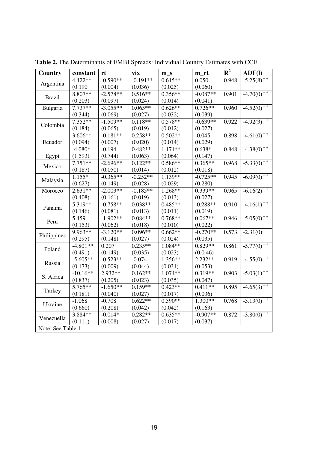| Country            | constant   | rt         | vix        | $m_s$     | m_rt       | ${\bf R}^2$ | $\bf{ADF}$ (I)           |
|--------------------|------------|------------|------------|-----------|------------|-------------|--------------------------|
|                    | 4.422**    | $-0.590**$ | $-0.191**$ | $0.615**$ | 0.050      | 0.948       | $-5.25(8)$ <sup>++</sup> |
| Argentina          | (0.190)    | (0.004)    | (0.036)    | (0.025)   | (0.060)    |             |                          |
| <b>Brazil</b>      | $8.807**$  | $-2.578**$ | $0.516**$  | $0.356**$ | $-0.087**$ | 0.901       | $-4.70(0)$ <sup>++</sup> |
|                    | (0.203)    | (0.097)    | (0.024)    | (0.014)   | (0.041)    |             |                          |
| Bulgaria           | 7.737**    | $-3.055**$ | $0.065**$  | $0.626**$ | $0.726**$  | 0.960       | $-4.52(0)$ <sup>++</sup> |
|                    | (0.344)    | (0.069)    | (0.027)    | (0.032)   | (0.039)    |             |                          |
| Colombia           | $7.352**$  | $-1.509**$ | $0.118**$  | $0.578**$ | $-0.639**$ | 0.922       | $-4.92(3)$ <sup>++</sup> |
|                    | (0.184)    | (0.065)    | (0.019)    | (0.012)   | (0.027)    |             |                          |
|                    | $3.606**$  | $-0.181**$ | $0.258**$  | $0.502**$ | $-0.045$   | 0.898       | $-4.61(0)$ <sup>++</sup> |
| Ecuador            | (0.094)    | (0.007)    | (0.020)    | (0.014)   | (0.029)    |             |                          |
|                    | $-4.080*$  | $-0.194$   | $0.482**$  | $1.174**$ | $0.638*$   | 0.848       | $-4.38(0)$ <sup>++</sup> |
| Egypt              | (1.593)    | (0.744)    | (0.063)    | (0.064)   | (0.147)    |             |                          |
| Mexico             | $7.751**$  | $-2.696**$ | $0.122**$  | $0.586**$ | $0.365**$  | 0.968       | $-5.33(0)$ <sup>++</sup> |
|                    | (0.187)    | (0.050)    | (0.014)    | (0.012)   | (0.018)    |             |                          |
|                    | $1.155*$   | $-0.365**$ | $-0.252**$ | $1.139**$ | $-0.725**$ | 0.945       | $-6.09(0)$ <sup>++</sup> |
| Malaysia           | (0.627)    | (0.149)    | (0.028)    | (0.029)   | (0.280)    |             |                          |
| Morocco            | $2.631**$  | $-2.003**$ | $-0.185**$ | $1.268**$ | $0.339**$  | 0.965       | $-6.16(2)^{++}$          |
|                    | (0.408)    | (0.161)    | (0.019)    | (0.013)   | (0.027)    |             |                          |
| Panama             | 5.319**    | $-0.758**$ | $0.038**$  | $0.485**$ | $-0.288**$ | 0.910       | $-4.16(1)$ <sup>++</sup> |
|                    | (0.146)    | (0.081)    | (0.013)    | (0.011)   | (0.019)    |             |                          |
| Peru               | 5.459      | $-1.902**$ | $0.084**$  | $0.768**$ | $0.067**$  | 0.946       | $-5.05(0)$ <sup>++</sup> |
|                    | (0.153)    | (0.062)    | (0.018)    | (0.010)   | (0.022)    |             |                          |
|                    | 9.963**    | $-3.120**$ | $0.096**$  | $0.662**$ | $-0.270**$ | 0.573       | $-2.31(0)$               |
| Philippines        | (0.295)    | (0.148)    | (0.027)    | (0.024)   | (0.035)    |             |                          |
| Poland             | $-4.801**$ | 0.207      | $0.235**$  | 1.084**   | $0.829**$  | 0.861       | $-5.77(0)$ <sup>++</sup> |
|                    | (0.491)    | (0.149)    | (0.035)    | (0.023)   | (0.0.46)   |             |                          |
| Russia             | $-5.605**$ | $-0.523**$ | $-0.074$   | $1.356**$ | $2.232**$  | 0.919       | $-4.55(0)$ <sup>++</sup> |
|                    | (0.173)    | (0.009)    | (0.044)    | (0.031)   | (0.053)    |             |                          |
| S. Africa          | $-10.16**$ | 2.932**    | $0.162**$  | $1.074**$ | $0.319**$  | 0.903       | $-5.03(1)$ <sup>++</sup> |
|                    | (0.837)    | (0.205)    | (0.023)    | (0.035)   | (0.047)    |             |                          |
| Turkey             | $5.765**$  | $-1.650**$ | $0.159**$  | $0.423**$ | $0.411**$  | 0.895       | $-4.65(3)^{++}$          |
|                    | (0.181)    | (0.040)    | (0.027)    | (0.017)   | (0.036)    |             |                          |
| Ukraine            | $-1.068$   | $-0.708$   | $0.622**$  | $0.590**$ | $1.300**$  | 0.768       | $-5.13(0)$ <sup>++</sup> |
|                    | (0.660)    | (0.208)    | (0.042)    | (0.042)   | (0.163)    |             |                          |
|                    | 3.884**    | $-0.014*$  | $0.282**$  | $0.635**$ | $-0.907**$ | 0.872       | $-3.80(0)$ <sup>++</sup> |
| Venezuella         | (0.111)    | (0.008)    | (0.027)    | (0.017)   | (0.037)    |             |                          |
| Note: See Table 1. |            |            |            |           |            |             |                          |

**Table 2.** The Determinants of EMBI Spreads: Individual Country Estimates with CCE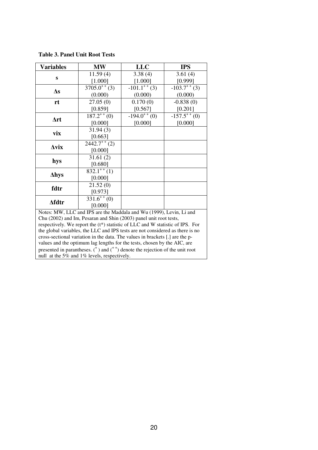| <b>Variables</b>                            | <b>MW</b>                                                                                                                                                     | <b>LLC</b>        | <b>IPS</b>       |  |  |  |
|---------------------------------------------|---------------------------------------------------------------------------------------------------------------------------------------------------------------|-------------------|------------------|--|--|--|
|                                             | 11.59(4)                                                                                                                                                      | 3.38(4)           | 3.61(4)          |  |  |  |
| S                                           | [1.000]                                                                                                                                                       | [1.000]           | [0.999]          |  |  |  |
|                                             | $\overline{3705.0}^{+}$ (3)                                                                                                                                   | $-101.1^{++}$ (3) | $-103.7^{+}$ (3) |  |  |  |
| $\Delta s$                                  | (0.000)                                                                                                                                                       | (0.000)           | (0.000)          |  |  |  |
| rt                                          | 27.05(0)                                                                                                                                                      | 0.170(0)          | $-0.838(0)$      |  |  |  |
|                                             | [0.859]                                                                                                                                                       | [0.567]           | [0.201]          |  |  |  |
|                                             | $187.2^{++}(0)$                                                                                                                                               | $-194.0^{++}(0)$  | $-157.5^{++}(0)$ |  |  |  |
| $\Delta$ rt                                 | [0.000]                                                                                                                                                       | [0.000]           | [0.000]          |  |  |  |
|                                             | 31.94(3)                                                                                                                                                      |                   |                  |  |  |  |
| vix                                         | [0.663]                                                                                                                                                       |                   |                  |  |  |  |
| $\Delta$ vix                                | $2442.7^{++}(2)$                                                                                                                                              |                   |                  |  |  |  |
|                                             | [0.000]                                                                                                                                                       |                   |                  |  |  |  |
|                                             | 31.61(2)                                                                                                                                                      |                   |                  |  |  |  |
| hys                                         | [0.680]                                                                                                                                                       |                   |                  |  |  |  |
| ∆hys                                        | $832.1^{++}$ (1)                                                                                                                                              |                   |                  |  |  |  |
|                                             | [0.000]                                                                                                                                                       |                   |                  |  |  |  |
| fdtr                                        | 21.52(0)                                                                                                                                                      |                   |                  |  |  |  |
|                                             | [0.973]                                                                                                                                                       |                   |                  |  |  |  |
| <b>Afdtr</b>                                | $\overline{331.6^{++}(0)}$                                                                                                                                    |                   |                  |  |  |  |
|                                             | [0.000]                                                                                                                                                       |                   |                  |  |  |  |
|                                             | Notes: MW, LLC and IPS are the Maddala and Wu (1999), Levin, Li and                                                                                           |                   |                  |  |  |  |
|                                             | Chu (2002) and Im, Pesaran and Shin (2003) panel unit root tests,                                                                                             |                   |                  |  |  |  |
|                                             | respectively. We report the $(t^*)$ statistic of LLC and W statistic of IPS. For                                                                              |                   |                  |  |  |  |
|                                             | the global variables, the LLC and IPS tests are not considered as there is no<br>cross-sectional variation in the data. The values in brackets [.] are the p- |                   |                  |  |  |  |
|                                             | values and the optimum lag lengths for the tests, chosen by the AIC, are                                                                                      |                   |                  |  |  |  |
|                                             | presented in parantheses. $($ <sup>+</sup> $)$ and $($ <sup>+<math>+</math></sup> $)$ denote the rejection of the unit root                                   |                   |                  |  |  |  |
|                                             |                                                                                                                                                               |                   |                  |  |  |  |
| null at the 5% and 1% levels, respectively. |                                                                                                                                                               |                   |                  |  |  |  |

**Table 3. Panel Unit Root Tests**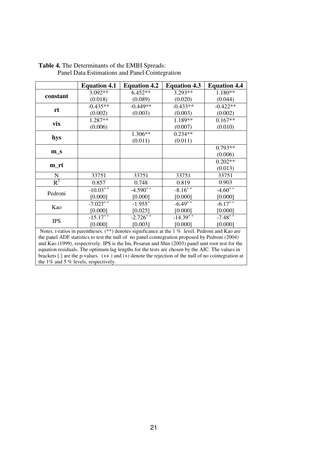| <b>Equation 4.1</b> | <b>Equation 4.2</b>                                        | <b>Equation 4.3</b>                       | <b>Equation 4.4</b>                                                                                                                                                                                                                                                                                                                        |
|---------------------|------------------------------------------------------------|-------------------------------------------|--------------------------------------------------------------------------------------------------------------------------------------------------------------------------------------------------------------------------------------------------------------------------------------------------------------------------------------------|
| 3.092**             | $6.452**$                                                  | $3.293**$                                 | 1.180**                                                                                                                                                                                                                                                                                                                                    |
| (0.018)             | (0.089)                                                    | (0.020)                                   | (0.044)                                                                                                                                                                                                                                                                                                                                    |
| $-0.435**$          | $-0.449**$                                                 | $-0.433**$                                | $-0.422**$                                                                                                                                                                                                                                                                                                                                 |
| (0.002)             | (0.003)                                                    | (0.003)                                   | (0.002)                                                                                                                                                                                                                                                                                                                                    |
|                     |                                                            | 1.189**                                   | $0.167**$                                                                                                                                                                                                                                                                                                                                  |
| (0.006)             |                                                            | (0.007)                                   | (0.010)                                                                                                                                                                                                                                                                                                                                    |
|                     |                                                            | $0.234**$                                 |                                                                                                                                                                                                                                                                                                                                            |
|                     | (0.011)                                                    | (0.011)                                   |                                                                                                                                                                                                                                                                                                                                            |
|                     |                                                            |                                           | $0.793**$                                                                                                                                                                                                                                                                                                                                  |
|                     |                                                            |                                           | (0.006)                                                                                                                                                                                                                                                                                                                                    |
|                     |                                                            |                                           | $0.202**$                                                                                                                                                                                                                                                                                                                                  |
|                     |                                                            |                                           | (0.013)                                                                                                                                                                                                                                                                                                                                    |
| 33751               | 33751                                                      | 33751                                     | 33751                                                                                                                                                                                                                                                                                                                                      |
| 0.857               | 0.748                                                      | 0.819                                     | 0.903                                                                                                                                                                                                                                                                                                                                      |
|                     |                                                            | $-8.16^{++}$                              | $-4.60^{++}$                                                                                                                                                                                                                                                                                                                               |
| [0.000]             | [0.000]                                                    | [0.000]                                   | [0.000]                                                                                                                                                                                                                                                                                                                                    |
|                     | $-1.955^{+}$                                               |                                           | $-6.17$ <sup>++</sup>                                                                                                                                                                                                                                                                                                                      |
| [0.000]             | [0.025]                                                    | [0.000]                                   | [0.000]                                                                                                                                                                                                                                                                                                                                    |
|                     |                                                            |                                           | $-7.48$ <sup>++</sup>                                                                                                                                                                                                                                                                                                                      |
| [0.000]             | [0.003]                                                    | [0.000]                                   | [0.000]                                                                                                                                                                                                                                                                                                                                    |
|                     |                                                            |                                           |                                                                                                                                                                                                                                                                                                                                            |
|                     |                                                            |                                           |                                                                                                                                                                                                                                                                                                                                            |
|                     | 1.287**<br>$-10.03^{++}$<br>$-7.027^{++}$<br>$-15.17^{+1}$ | 1.306**<br>$-4.590^{++}$<br>$-2.726^{++}$ | $-6.49^{++}$<br>$-14.39^{++}$<br>Notes. t-ratios in parentheses. $(**)$ denotes significance at the 1% level. Pedroni and Kao are<br>the panel ADF statistics to test the null of no panel cointegration proposed by Pedroni (2004)<br>and $K_{30}$ (1999) respectively IPS is the Im Pesaran and Shin (2003) panel unit root test for the |

**Table 4.** The Determinants of the EMBI Spreads: Panel Data Estimations and Panel Cointegration

and Kao (1999), respectively. IPS is the Im, Pesaran and Shin (2003) panel unit root test for the equation residuals. The optimum lag lengths for the tests are chosen by the AIC. The values in brackets [.] are the p-values.  $(++)$  and  $(+)$  denote the rejection of the null of no cointegration at the 1% and 5% levels, respectively.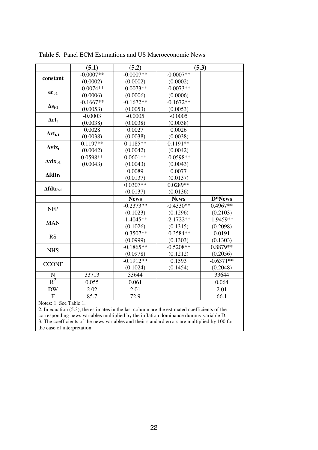|                             | (5.1)       | (5.2)       |             | (5.3)       |
|-----------------------------|-------------|-------------|-------------|-------------|
|                             | $-0.0007**$ | $-0.0007**$ | $-0.0007**$ |             |
| constant                    | (0.0002)    | (0.0002)    | (0.0002)    |             |
|                             | $-0.0074**$ | $-0.0073**$ | $-0.0073**$ |             |
| $ec_{t-1}$                  | (0.0006)    | (0.0006)    | (0.0006)    |             |
|                             | $-0.1667**$ | $-0.1672**$ | $-0.1672**$ |             |
| $\Delta s_{t-1}$            | (0.0053)    | (0.0053)    | (0.0053)    |             |
|                             | $-0.0003$   | $-0.0005$   | $-0.0005$   |             |
| $\Delta r t_t$              | (0.0038)    | (0.0038)    | (0.0038)    |             |
|                             | 0.0028      | 0.0027      | 0.0026      |             |
| $\Delta r t_{t-1}$          | (0.0038)    | (0.0038)    | (0.0038)    |             |
| $\Delta$ vix <sub>t</sub>   | $0.1197**$  | $0.1185**$  | $0.1191**$  |             |
|                             | (0.0042)    | (0.0042)    | (0.0042)    |             |
| $\Delta$ vix <sub>t-1</sub> | $0.0598**$  | $0.0601**$  | $-0.0598**$ |             |
|                             | (0.0043)    | (0.0043)    | (0.0043)    |             |
| $\Delta fdtr_t$             |             | 0.0089      | 0.0077      |             |
|                             |             | (0.0137)    | (0.0137)    |             |
| $\Delta fdtr_{t-1}$         |             | $0.0307**$  | $0.0289**$  |             |
|                             |             | (0.0137)    | (0.0136)    |             |
|                             |             | <b>News</b> | <b>News</b> | D*News      |
| <b>NFP</b>                  |             | $-0.2373**$ | $-0.4330**$ | 0.4967**    |
|                             |             | (0.1023)    | (0.1296)    | (0.2103)    |
| <b>MAN</b>                  |             | $-1.4045**$ | $-2.1722**$ | $1.9459**$  |
|                             |             | (0.1026)    | (0.1315)    | (0.2098)    |
| <b>RS</b>                   |             | $-0.3507**$ | $-0.3584**$ | 0.0191      |
|                             |             | (0.0999)    | (0.1303)    | (0.1303)    |
| <b>NHS</b>                  |             | $-0.1865**$ | $-0.5208**$ | 0.8879 **   |
|                             |             | (0.0978)    | (0.1212)    | (0.2056)    |
| <b>CCONF</b>                |             | $-0.1912**$ | 0.1593      | $-0.6371**$ |
|                             |             | (0.1024)    | (0.1454)    | (0.2048)    |
| $\mathbf N$                 | 33713       | 33644       |             | 33644       |
| $R^2$                       | 0.055       | 0.061       |             | 0.064       |
| <b>DW</b>                   | 2.02        | 2.01        |             | 2.01        |
| $\overline{F}$              | 85.7        | 72.9        |             | 66.1        |
| Notes: 1. See Table 1.      |             |             |             |             |

**Table 5.** Panel ECM Estimations and US Macroeconomic News

2. In equation (5.3), the estimates in the last column are the estimated coefficients of the corresponding news variables multiplied by the inflation dominance dummy variable D. 3. The coefficients of the news variables and their standard errors are multiplied by 100 for the ease of interpretation.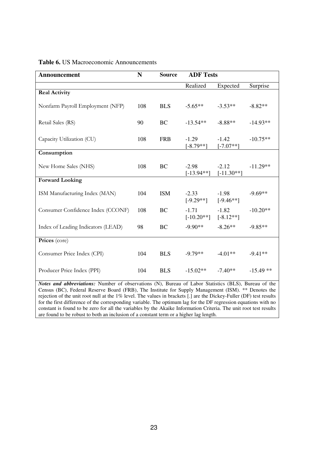| Announcement                       | $\mathbf N$ | <b>Source</b> | <b>ADF Tests</b>        |                         |             |
|------------------------------------|-------------|---------------|-------------------------|-------------------------|-------------|
|                                    |             |               | Realized                | Expected                | Surprise    |
| <b>Real Activity</b>               |             |               |                         |                         |             |
| Nonfarm Payroll Employment (NFP)   | 108         | <b>BLS</b>    | $-5.65**$               | $-3.53**$               | $-8.82**$   |
| Retail Sales (RS)                  | 90          | <b>BC</b>     | $-13.54**$              | $-8.88**$               | $-14.93**$  |
| Capacity Utilization (CU)          | 108         | <b>FRB</b>    | $-1.29$<br>$[-8.79**]$  | $-1.42$<br>$[-7.07**]$  | $-10.75**$  |
| Consumption                        |             |               |                         |                         |             |
| New Home Sales (NHS)               | 108         | <b>BC</b>     | $-2.98$<br>$[-13.94**]$ | $-2.12$<br>$[-11.30**]$ | $-11.29**$  |
| <b>Forward Looking</b>             |             |               |                         |                         |             |
| ISM Manufacturing Index (MAN)      | 104         | <b>ISM</b>    | $-2.33$<br>$[-9.29**]$  | $-1.98$<br>$[-9.46**]$  | $-9.69**$   |
| Consumer Confidence Index (CCONF)  | 108         | <b>BC</b>     | $-1.71$<br>$[-10.20**]$ | $-1.82$<br>$[-8.12**]$  | $-10.20**$  |
| Index of Leading Indicators (LEAD) | 98          | <b>BC</b>     | $-9.90**$               | $-8.26**$               | $-9.85**$   |
| Prices (core)                      |             |               |                         |                         |             |
| Consumer Price Index (CPI)         | 104         | <b>BLS</b>    | $-9.79**$               | $-4.01**$               | $-9.41**$   |
| Producer Price Index (PPI)         | 104         | <b>BLS</b>    | $-15.02**$              | $-7.40**$               | $-15.49$ ** |

# **Table 6.** US Macroeconomic Announcements

*Notes and abbreviations:* Number of observations (N), Bureau of Labor Statistics (BLS), Bureau of the Census (BC), Federal Reserve Board (FRB), The Institute for Supply Management (ISM). \*\* Denotes the rejection of the unit root null at the 1% level. The values in brackets [.] are the Dickey-Fuller (DF) test results for the first difference of the corresponding variable. The optimum lag for the DF regression equations with no constant is found to be zero for all the variables by the Akaike Information Criteria. The unit root test results are found to be robust to both an inclusion of a constant term or a higher lag length.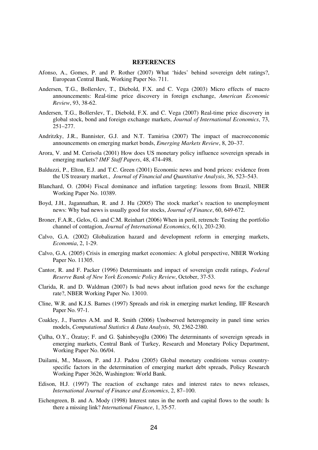#### **REFERENCES**

- Afonso, A., Gomes, P. and P. Rother (2007) What 'hides' behind sovereign debt ratings?, European Central Bank, Working Paper No. 711.
- Andersen, T.G., Bollerslev, T., Diebold, F.X. and C. Vega (2003) Micro effects of macro announcements: Real-time price discovery in foreign exchange, *American Economic Review*, 93, 38-62.
- Andersen, T.G., Bollerslev, T., Diebold, F.X. and C. Vega (2007) Real-time price discovery in global stock, bond and foreign exchange markets, *Journal of International Economics*, 73, 251–277.
- Andritzky, J.R., Bannister, G.J. and N.T. Tamirisa (2007) The impact of macroeconomic announcements on emerging market bonds, *Emerging Markets Review*, 8, 20–37.
- Arora, V. and M. Cerisola (2001) How does US monetary policy influence sovereign spreads in emerging markets? *IMF Staff Papers*, 48, 474-498.
- Balduzzi, P., Elton, E.J. and T.C. Green (2001) Economic news and bond prices: evidence from the US treasury market., *Journal of Financial and Quantitative Analysis*, 36, 523–543.
- Blanchard, O. (2004) Fiscal dominance and inflation targeting: lessons from Brazil, NBER Working Paper No. 10389.
- Boyd, J.H., Jagannathan, R. and J. Hu (2005) The stock market's reaction to unemployment news: Why bad news is usually good for stocks, *Journal of Finance*, 60, 649-672.
- Broner, F.A.R., Gelos, G. and C.M. Reinhart (2006) When in peril, retrench: Testing the portfolio channel of contagion, *Journal of International Economics*, 6(1), 203-230.
- Calvo, G.A. (2002) Globalization hazard and development reform in emerging markets, *Economia*, 2, 1-29.
- Calvo, G.A. (2005) Crisis in emerging market economies: A global perspective, NBER Working Paper No. 11305.
- Cantor, R. and F. Packer (1996) Determinants and impact of sovereign credit ratings, *Federal Reserve Bank of New York Economic Policy Review*, October, 37-53.
- Clarida, R. and D. Waldman (2007) Is bad news about inflation good news for the exchange rate?, NBER Working Paper No. 13010.
- Cline, W.R. and K.J.S. Barnes (1997) Spreads and risk in emerging market lending, IIF Research Paper No. 97-1.
- Coakley, J., Fuertes A.M. and R. Smith (2006) Unobserved heterogeneity in panel time series models, *Computational Statistics & Data Analysis*, 50, 2362-2380.
- Çulha, O.Y., Özatay; F. and G. Şahinbeyoğlu (2006) The determinants of sovereign spreads in emerging markets, Central Bank of Turkey, Research and Monetary Policy Department, Working Paper No. 06/04.
- Dailami, M., Masson, P. and J.J. Padou (2005) Global monetary conditions versus countryspecific factors in the determination of emerging market debt spreads, Policy Research Working Paper 3626, Washington: World Bank.
- Edison, H.J. (1997) The reaction of exchange rates and interest rates to news releases, *International Journal of Finance and Economics*, 2, 87–100.
- Eichengreen, B. and A. Mody (1998) Interest rates in the north and capital flows to the south: Is there a missing link? *International Finance*, 1, 35-57.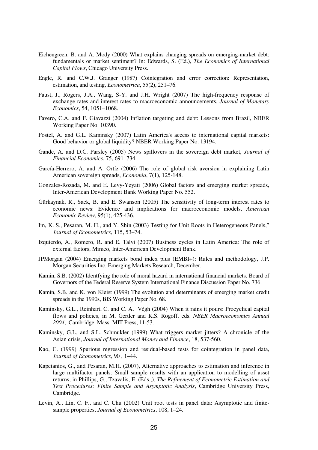- Eichengreen, B. and A. Mody (2000) What explains changing spreads on emerging-market debt: fundamentals or market sentiment? In: Edwards, S. (Ed.), *The Economics of International Capital Flows*, Chicago University Press.
- Engle, R. and C.W.J. Granger (1987) Cointegration and error correction: Representation, estimation, and testing, *Econometrica*, 55(2), 251–76.
- Faust, J., Rogers, J.A., Wang, S-Y. and J.H. Wright (2007) The high-frequency response of exchange rates and interest rates to macroeconomic announcements, *Journal of Monetary Economics*, 54, 1051–1068.
- Favero, C.A. and F. Giavazzi (2004) Inflation targeting and debt: Lessons from Brazil, NBER Working Paper No. 10390.
- Fostel, A. and G.L. Kaminsky (2007) Latin America's access to international capital markets: Good behavior or global liquidity? NBER Working Paper No. 13194.
- Gande, A. and D.C. Parsley (2005) News spillovers in the sovereign debt market, *Journal of Financial Economics*, 75, 691–734.
- García-Herrero, A. and A. Ortíz (2006) The role of global risk aversion in explaining Latin American sovereign spreads, *Economia*, 7(1), 125-148.
- Gonzales-Rozada, M. and E. Levy-Yeyati (2006) Global factors and emerging market spreads, Inter-American Development Bank Working Paper No. 552.
- Gürkaynak, R., Sack, B. and E. Swanson (2005) The sensitivity of long-term interest rates to economic news: Evidence and implications for macroeconomic models, *American Economic Review*, 95(1), 425-436.
- Im, K. S., Pesaran, M. H., and Y. Shin (2003) Testing for Unit Roots in Heterogeneous Panels," *Journal of Econometrics*, 115, 53–74.
- Izquierdo, A., Romero, R. and E. Talvi (2007) Business cycles in Latin America: The role of external factors, Mimeo, Inter-American Development Bank.
- JPMorgan (2004) Emerging markets bond index plus (EMBI+): Rules and methodology, J.P. Morgan Securities Inc. Emerging Markets Research, December.
- Kamin, S.B. (2002) Identfying the role of moral hazard in international financial markets. Board of Governors of the Federal Reserve System International Finance Discussion Paper No. 736.
- Kamin, S.B. and K. von Kleist (1999) The evolution and determinants of emerging market credit spreads in the 1990s, BIS Working Paper No. 68.
- Kaminsky, G.L., Reinhart, C. and C. A. Végh (2004) When it rains it pours: Procyclical capital flows and policies, in M. Gertler and K.S. Rogoff, eds. *NBER Macroeconomics Annual 2004*, Cambridge, Mass: MIT Press, 11-53.
- Kaminsky, G.L. and S.L. Schmukler (1999) What triggers market jitters? A chronicle of the Asian crisis, *Journal of International Money and Finance*, 18, 537-560.
- Kao, C. (1999) Spurious regression and residual-based tests for cointegration in panel data, *Journal of Econometrics*, 90 , 1–44.
- Kapetanios, G., and Pesaran, M.H. (2007), Alternative approaches to estimation and inference in large multifactor panels: Small sample results with an application to modelling of asset returns, in Phillips, G., Tzavalis, E. (Eds.,), *The Refinement of Econometric Estimation and Test Procedures: Finite Sample and Asymptotic Analysis*, Cambridge University Press, Cambridge.
- Levin, A., Lin, C. F., and C. Chu (2002) Unit root tests in panel data: Asymptotic and finitesample properties, *Journal of Econometrics*, 108, 1–24.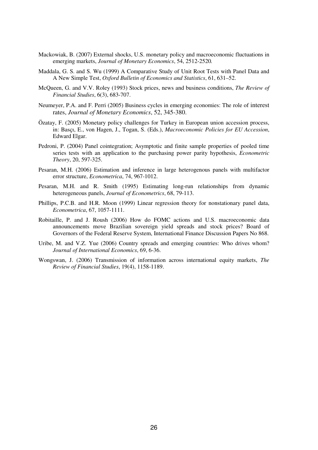- Mackowiak, B. (2007) External shocks, U.S. monetary policy and macroeconomic fluctuations in emerging markets, *Journal of Monetary Economics*, 54, 2512-2520*.*
- Maddala, G. S. and S. Wu (1999) A Comparative Study of Unit Root Tests with Panel Data and A New Simple Test, *Oxford Bulletin of Economics and Statistics*, 61, 631–52.
- McQueen, G. and V.V. Roley (1993) Stock prices, news and business conditions, *The Review of Financial Studies*, 6(3), 683-707.
- Neumeyer, P.A. and F. Perri (2005) Business cycles in emerging economies: The role of interest rates, *Journal of Monetary Economics*, 52, 345-380.
- Özatay, F. (2005) Monetary policy challenges for Turkey in European union accession process, in: Basçı, E., von Hagen, J., Togan, S. (Eds.), *Macroeconomic Policies for EU Accession*, Edward Elgar.
- Pedroni, P. (2004) Panel cointegration; Asymptotic and finite sample properties of pooled time series tests with an application to the purchasing power parity hypothesis, *Econometric Theory*, 20, 597-325.
- Pesaran, M.H. (2006) Estimation and inference in large heterogenous panels with multifactor error structure, *Econometrica*, 74, 967-1012.
- Pesaran, M.H. and R. Smith (1995) Estimating long-run relationships from dynamic heterogeneous panels, *Journal of Econometrics*, 68, 79-113.
- Phillips, P.C.B. and H.R. Moon (1999) Linear regression theory for nonstationary panel data, *Econometrica*, 67, 1057-1111.
- Robitaille, P. and J. Roush (2006) How do FOMC actions and U.S. macroeconomic data announcements move Brazilian sovereign yield spreads and stock prices? Board of Governors of the Federal Reserve System, International Finance Discussion Papers No 868.
- Uribe, M. and V.Z. Yue (2006) Country spreads and emerging countries: Who drives whom? *Journal of International Economics*, 69, 6-36.
- Wongswan, J. (2006) Transmission of information across international equity markets, *The Review of Financial Studies*, 19(4), 1158-1189.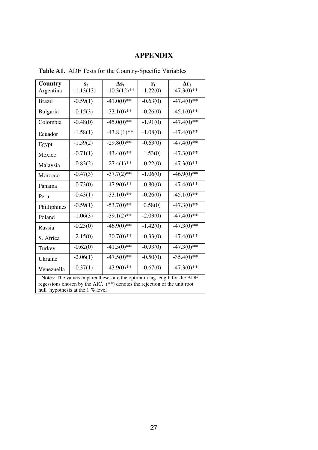# **APPENDIX**

| Country                                                                                                                                                                                  | $S_t$       | $\Delta s_t$   | $r_{t}$    | $\Delta r_t$  |  |  |
|------------------------------------------------------------------------------------------------------------------------------------------------------------------------------------------|-------------|----------------|------------|---------------|--|--|
| Argentina                                                                                                                                                                                | $-1.13(13)$ | $-10.3(12)$ ** | $-1.22(0)$ | $-47.3(0)$ ** |  |  |
| <b>Brazil</b>                                                                                                                                                                            | $-0.59(1)$  | $-41.0(0)**$   | $-0.63(0)$ | $-47.4(0)$ ** |  |  |
| Bulgaria                                                                                                                                                                                 | $-0.15(3)$  | $-33.1(0)$ **  | $-0.26(0)$ | $-45.1(0)*$   |  |  |
| Colombia                                                                                                                                                                                 | $-0.48(0)$  | $-45.0(0)$ **  | $-1.91(0)$ | $-47.4(0)$ ** |  |  |
| Ecuador                                                                                                                                                                                  | $-1.58(1)$  | $-43.8(1)$ **  | $-1.08(0)$ | $-47.4(0)$ ** |  |  |
| Egypt                                                                                                                                                                                    | $-1.59(2)$  | $-29.8(0)$ **  | $-0.63(0)$ | $-47.4(0)$ ** |  |  |
| Mexico                                                                                                                                                                                   | $-0.71(1)$  | $-43.4(0)$ **  | 1.53(0)    | $-47.3(0)$ ** |  |  |
| Malaysia                                                                                                                                                                                 | $-0.83(2)$  | $-27.4(1)$ **  | $-0.22(0)$ | $-47.3(0)**$  |  |  |
| Morocco                                                                                                                                                                                  | $-0.47(3)$  | $-37.7(2)$ **  | $-1.06(0)$ | $-46.9(0)$ ** |  |  |
| Panama                                                                                                                                                                                   | $-0.73(0)$  | $-47.9(0)$ **  | $-0.80(0)$ | $-47.4(0)$ ** |  |  |
| Peru                                                                                                                                                                                     | $-0.43(1)$  | $-33.1(0)**$   | $-0.26(0)$ | $-45.1(0)$ ** |  |  |
| Philliphines                                                                                                                                                                             | $-0.59(1)$  | $-53.7(0)$ **  | 0.58(0)    | $-47.3(0)$ ** |  |  |
| Poland                                                                                                                                                                                   | $-1.06(3)$  | $-39.1(2)$ **  | $-2.03(0)$ | $-47.4(0)$ ** |  |  |
| Russia                                                                                                                                                                                   | $-0.23(0)$  | $-46.9(0)$ **  | $-1.42(0)$ | $-47.3(0)$ ** |  |  |
| S. Africa                                                                                                                                                                                | $-2.15(0)$  | $-30.7(0)**$   | $-0.33(0)$ | $-47.4(0)$ ** |  |  |
| Turkey                                                                                                                                                                                   | $-0.62(0)$  | $-41.5(0)$ **  | $-0.93(0)$ | $-47.3(0)$ ** |  |  |
| Ukraine                                                                                                                                                                                  | $-2.06(1)$  | $-47.5(0)$ **  | $-0.50(0)$ | $-35.4(0)$ ** |  |  |
| Venezuella                                                                                                                                                                               | $-0.37(1)$  | $-43.9(0)$ **  | $-0.67(0)$ | $-47.3(0)$ ** |  |  |
| Notes: The values in parentheses are the optimum lag length for the ADF<br>regessions chosen by the AIC. (**) denotes the rejection of the unit root<br>null hypothesis at the 1 % level |             |                |            |               |  |  |

**Table A1.** ADF Tests for the Country-Specific Variables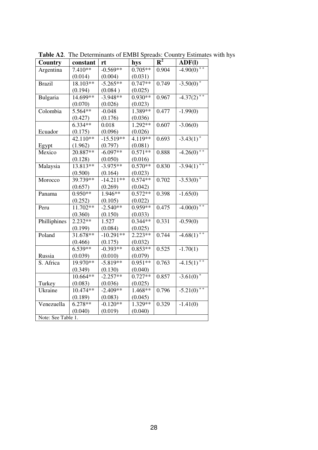| Country            | constant   | rt          | hys       | $R^2$ | ADF(I)                   |
|--------------------|------------|-------------|-----------|-------|--------------------------|
| Argentina          | $7.410**$  | $-0.569**$  | $0.705**$ | 0.904 | $-4.90(0)$ <sup>++</sup> |
|                    | (0.014)    | (0.004)     | (0.031)   |       |                          |
| <b>Brazil</b>      | $18.103**$ | $-5.265**$  | $0.747**$ | 0.749 | $-3.50(0)$ <sup>+</sup>  |
|                    | (0.194)    | (0.084)     | (0.025)   |       |                          |
| Bulgaria           | 14.699**   | $-3.948**$  | $0.930**$ | 0.967 | $-4.37(2)$ <sup>++</sup> |
|                    | (0.070)    | (0.026)     | (0.023)   |       |                          |
| Colombia           | 5.564**    | $-0.048$    | 1.389**   | 0.477 | $-1.99(0)$               |
|                    | (0.427)    | (0.176)     | (0.036)   |       |                          |
|                    | $6.334**$  | 0.018       | $1.292**$ | 0.607 | $-3.06(0)$               |
| Ecuador            | (0.175)    | (0.096)     | (0.026)   |       |                          |
|                    | $42.110**$ | $-15.519**$ | $4.119**$ | 0.693 | $-3.43(1)$ <sup>+</sup>  |
| Egypt              | (1.962)    | (0.797)     | (0.081)   |       |                          |
| Mexico             | 20.887**   | $-6.097**$  | $0.571**$ | 0.888 | $-4.26(0)$ <sup>++</sup> |
|                    | (0.128)    | (0.050)     | (0.016)   |       |                          |
| Malaysia           | 13.813**   | $-3.975**$  | $0.570**$ | 0.830 | $-3.94(1)$ <sup>++</sup> |
|                    | (0.500)    | (0.164)     | (0.023)   |       |                          |
| Morocco            | 39.739**   | $-14.211**$ | $0.574**$ | 0.702 | $-3.53(0)$ <sup>+</sup>  |
|                    | (0.657)    | (0.269)     | (0.042)   |       |                          |
| Panama             | $0.950**$  | $1.946**$   | $0.572**$ | 0.398 | $-1.65(0)$               |
|                    | (0.252)    | (0.105)     | (0.022)   |       |                          |
| Peru               | $11.702**$ | $-2.540**$  | $0.959**$ | 0.475 | $-4.00(0)$ <sup>++</sup> |
|                    | (0.360)    | (0.150)     | (0.033)   |       |                          |
| Philliphines       | $2.232**$  | 1.527       | $0.344**$ | 0.331 | $-0.59(0)$               |
|                    | (0.199)    | (0.084)     | (0.025)   |       |                          |
| Poland             | 31.678**   | $-10.291**$ | $2.223**$ | 0.744 | $-4.68(1)$ <sup>++</sup> |
|                    | (0.466)    | (0.175)     | (0.032)   |       |                          |
|                    | $6.539**$  | $-0.393**$  | $0.853**$ | 0.525 | $-1.70(1)$               |
| Russia             | (0.039)    | (0.010)     | (0.079)   |       |                          |
| S. Africa          | 19.970**   | $-5.819**$  | $0.951**$ | 0.763 | $-4.15(1)$ <sup>++</sup> |
|                    | (0.349)    | (0.130)     | (0.040)   |       |                          |
|                    | $10.664**$ | $-2.257**$  | $0.727**$ | 0.857 | $-3.61(0)$ <sup>+</sup>  |
| Turkey             | (0.083)    | (0.036)     | (0.025)   |       |                          |
| Ukraine            | 10.474**   | $-2.409**$  | 1.468**   | 0.796 | $-5.21(0)$ <sup>++</sup> |
|                    | (0.189)    | (0.083)     | (0.045)   |       |                          |
| Venezuella         | $6.278**$  | $-0.120**$  | $1.329**$ | 0.329 | $-1.41(0)$               |
|                    | (0.040)    | (0.019)     | (0.040)   |       |                          |
| Note: See Table 1. |            |             |           |       |                          |

**Table A2**. The Determinants of EMBI Spreads: Country Estimates with hys